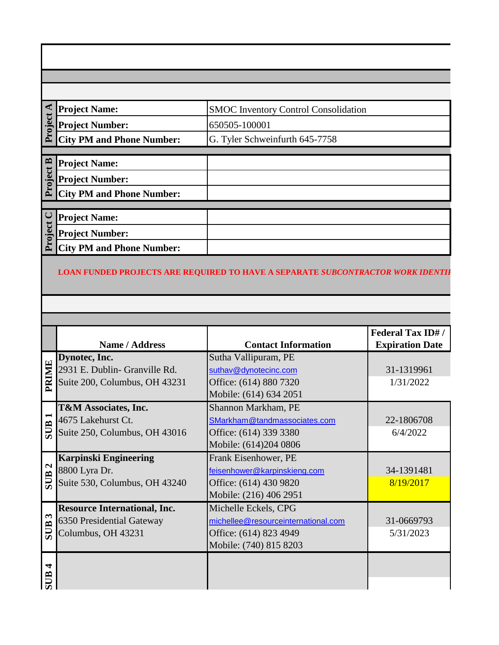#### **C** Project Name:<br>
Project Number:<br>
City PM and Phone Number: SMOC Inventory Control Consolidation **Project Name: Project Number:** 650505-100001 G. Tyler Schweinfurth 645-7758**Project C Project B Project Name: Project Number: City PM and Phone Number:** Project C **Project Name: Project Number: City PM and Phone Number:**

#### LOAN FUNDED PROJECTS ARE REQUIRED TO HAVE A SEPARATE *SUBCONTRACTOR WORK IDENTIF*

|                         |                                     |                                     | <b>Federal Tax ID#/</b> |
|-------------------------|-------------------------------------|-------------------------------------|-------------------------|
|                         | Name / Address                      | <b>Contact Information</b>          | <b>Expiration Date</b>  |
|                         | Dynotec, Inc.                       | Sutha Vallipuram, PE                |                         |
|                         | 2931 E. Dublin- Granville Rd.       | suthav@dynotecinc.com               | 31-1319961              |
| PRIMIE                  | Suite 200, Columbus, OH 43231       | Office: (614) 880 7320              | 1/31/2022               |
|                         |                                     | Mobile: (614) 634 2051              |                         |
|                         | <b>T&amp;M Associates, Inc.</b>     | Shannon Markham, PE                 |                         |
| $\blacksquare$          | 4675 Lakehurst Ct.                  | SMarkham@tandmassociates.com        | 22-1806708              |
| <b>SUB</b>              | Suite 250, Columbus, OH 43016       | Office: (614) 339 3380              | 6/4/2022                |
|                         |                                     | Mobile: (614)204 0806               |                         |
|                         | <b>Karpinski Engineering</b>        | Frank Eisenhower, PE                |                         |
| $\mathbf{\Omega}$       | 8800 Lyra Dr.                       | feisenhower@karpinskieng.com        | 34-1391481              |
| <b>SUB</b>              | Suite 530, Columbus, OH 43240       | Office: (614) 430 9820              | 8/19/2017               |
|                         |                                     | Mobile: (216) 406 2951              |                         |
|                         | <b>Resource International, Inc.</b> | Michelle Eckels, CPG                |                         |
| $\boldsymbol{\epsilon}$ | 6350 Presidential Gateway           | michellee@resourceinternational.com | 31-0669793              |
| <b>SUB</b>              | Columbus, OH 43231                  | Office: (614) 823 4949              | 5/31/2023               |
|                         |                                     | Mobile: (740) 815 8203              |                         |
|                         |                                     |                                     |                         |
| $\blacktriangleleft$    |                                     |                                     |                         |
| <b>AUS</b>              |                                     |                                     |                         |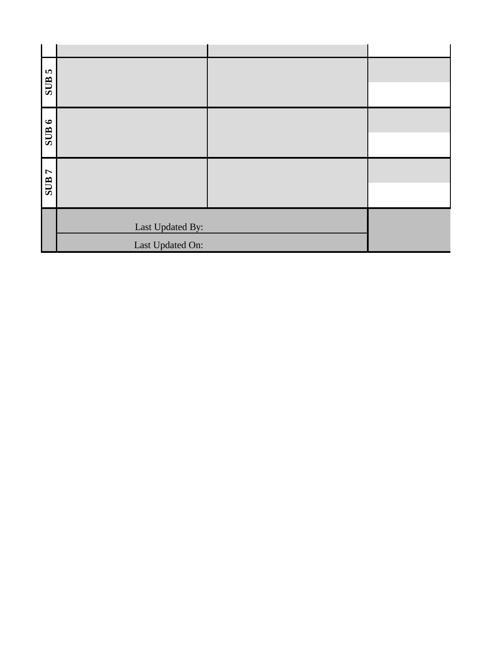| <b>SHOS</b>   |                  |  |
|---------------|------------------|--|
| <b>9 HIIS</b> |                  |  |
| L HIIS        |                  |  |
|               | Last Updated By: |  |
|               | Last Updated On: |  |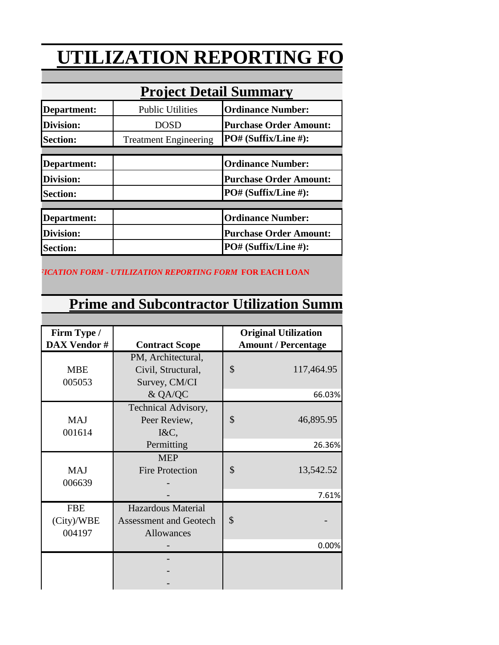# **UTILIZATION REPORTING FO**

| Project Detail Summary |                              |                               |  |  |
|------------------------|------------------------------|-------------------------------|--|--|
| Department:            | <b>Public Utilities</b>      | <b>Ordinance Number:</b>      |  |  |
| Division:              | <b>DOSD</b>                  | <b>Purchase Order Amount:</b> |  |  |
| <b>Section:</b>        | <b>Treatment Engineering</b> | PO# (Suffix/Line #):          |  |  |
|                        |                              |                               |  |  |
| Department:            |                              | <b>Ordinance Number:</b>      |  |  |
| <b>Division:</b>       |                              | <b>Purchase Order Amount:</b> |  |  |
| <b>Section:</b>        |                              | PO# (Suffix/Line #):          |  |  |
|                        |                              |                               |  |  |
| Department:            |                              | <b>Ordinance Number:</b>      |  |  |
| Division:              |                              | <b>Purchase Order Amount:</b> |  |  |
| <b>Section:</b>        |                              | PO# (Suffix/Line #):          |  |  |

### **Project Detail Summary**

**LOAN FUNDED PROJECTS ARE REQUIRED TO HAVE A SEPARATE** *SUBCONTRACTOR WORK IDENTIFICATION FORM - UTILIZATION REPORTING FORM* **FOR EACH LOAN**

## **Prime and Subcontractor Utilization Summ**

| Firm Type /        |                               | <b>Original Utilization</b> |  |
|--------------------|-------------------------------|-----------------------------|--|
| <b>DAX Vendor#</b> | <b>Contract Scope</b>         | <b>Amount / Percentage</b>  |  |
|                    | PM, Architectural,            |                             |  |
| <b>MBE</b>         | Civil, Structural,            | \$<br>117,464.95            |  |
| 005053             | Survey, CM/CI                 |                             |  |
|                    | & QA/QC                       | 66.03%                      |  |
|                    | Technical Advisory,           |                             |  |
| <b>MAJ</b>         | Peer Review,                  | $\mathcal{S}$<br>46,895.95  |  |
| 001614             | $I&C$ ,                       |                             |  |
|                    | Permitting                    | 26.36%                      |  |
|                    | <b>MEP</b>                    |                             |  |
| <b>MAJ</b>         | <b>Fire Protection</b>        | \$<br>13,542.52             |  |
| 006639             |                               |                             |  |
|                    |                               | 7.61%                       |  |
| <b>FBE</b>         | <b>Hazardous Material</b>     |                             |  |
| (City)/WBE         | <b>Assessment and Geotech</b> | \$                          |  |
| 004197             | Allowances                    |                             |  |
|                    |                               | 0.00%                       |  |
|                    |                               |                             |  |
|                    |                               |                             |  |
|                    |                               |                             |  |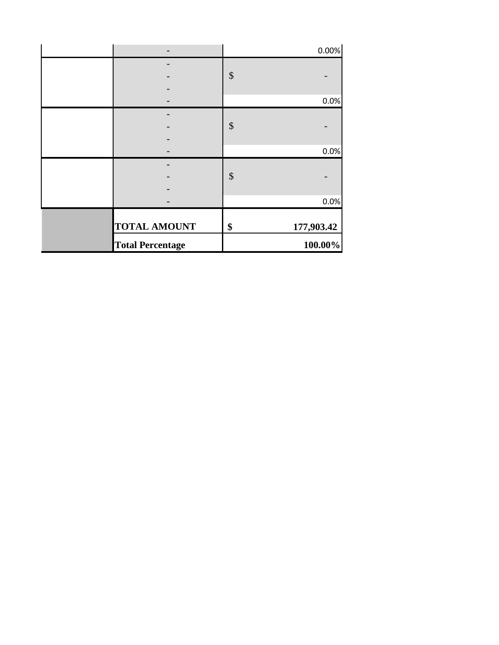| <b>Total Percentage</b> | 100.00%          |
|-------------------------|------------------|
| <b>TOTAL AMOUNT</b>     | \$<br>177,903.42 |
|                         | 0.0%             |
|                         |                  |
|                         | \$               |
|                         | 0.0%             |
|                         |                  |
|                         | \$               |
|                         |                  |
|                         | 0.0%             |
|                         | \$               |
|                         |                  |
|                         | 0.00%            |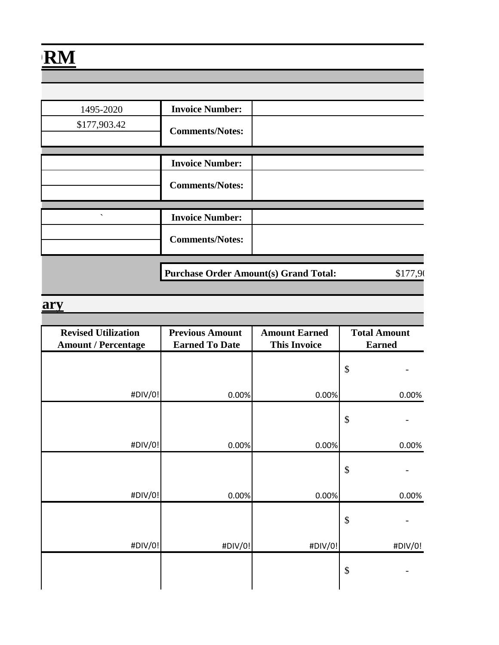| 1495-2020                | <b>Invoice Number:</b> |  |
|--------------------------|------------------------|--|
| \$177,903.42             | <b>Comments/Notes:</b> |  |
|                          |                        |  |
|                          | <b>Invoice Number:</b> |  |
|                          | <b>Comments/Notes:</b> |  |
|                          |                        |  |
| $\overline{\phantom{0}}$ | <b>Invoice Number:</b> |  |
|                          | <b>Comments/Notes:</b> |  |
|                          |                        |  |

**Purchase Order Amount(s) Grand Total:** \$177,90

#### **Prime and Subset Superior**

| <b>Revised Utilization</b> | <b>Previous Amount</b> | <b>Amount Earned</b> | <b>Total Amount</b> |
|----------------------------|------------------------|----------------------|---------------------|
| <b>Amount / Percentage</b> | <b>Earned To Date</b>  | <b>This Invoice</b>  | <b>Earned</b>       |
|                            |                        |                      | \$                  |
| #DIV/0!                    | 0.00%                  | 0.00%                | 0.00%               |
|                            |                        |                      | \$                  |
| #DIV/0!                    | 0.00%                  | 0.00%                | 0.00%               |
|                            |                        |                      | \$                  |
| #DIV/0!                    | 0.00%                  | 0.00%                | 0.00%               |
|                            |                        |                      | \$                  |
| #DIV/0!                    | #DIV/0!                | #DIV/0!              | #DIV/0!             |
|                            |                        |                      | \$                  |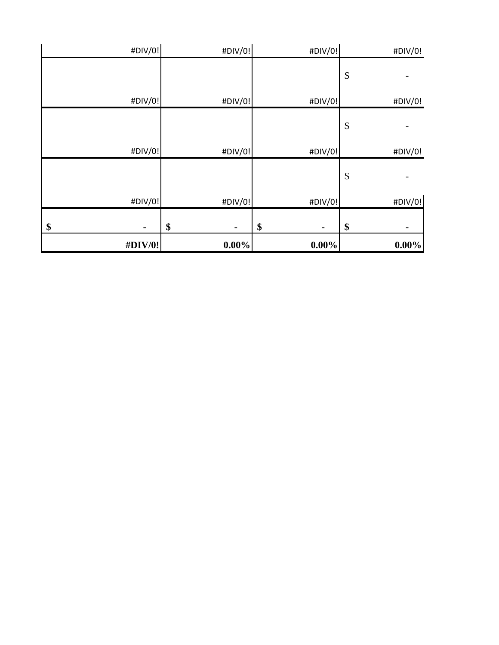| #DIV/0!              | $0.00\%$             | $0.00\%$             | $0.00\%$                  |
|----------------------|----------------------|----------------------|---------------------------|
| \$<br>$\blacksquare$ | \$<br>$\blacksquare$ | \$<br>$\blacksquare$ | \$                        |
| #DIV/0!              | #DIV/0!              | #DIV/0!              | #DIV/0!                   |
|                      |                      |                      | $\boldsymbol{\mathsf{S}}$ |
| #DIV/0!              | #DIV/0!              | #DIV/0!              | #DIV/0!                   |
|                      |                      |                      | $\boldsymbol{\mathsf{S}}$ |
| #DIV/0!              | #DIV/0!              | #DIV/0!              | #DIV/0!                   |
|                      |                      |                      | $\boldsymbol{\mathsf{S}}$ |
| #DIV/0!              | #DIV/0!              | #DIV/0!              | #DIV/0!                   |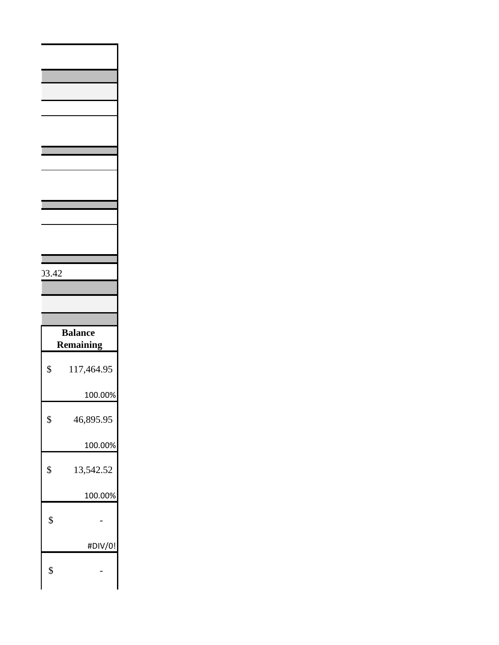| 03.42 |                                    |
|-------|------------------------------------|
|       |                                    |
|       |                                    |
|       |                                    |
|       | <b>Balance</b><br><b>Remaining</b> |
| \$    | 117,464.95                         |
|       | 100.00%                            |
| \$    | 46,895.95                          |
|       | 100.00%                            |
| \$    | 13,542.52                          |
|       | 100.00%                            |
| \$    |                                    |
|       | #DIV/0!                            |
| \$    |                                    |